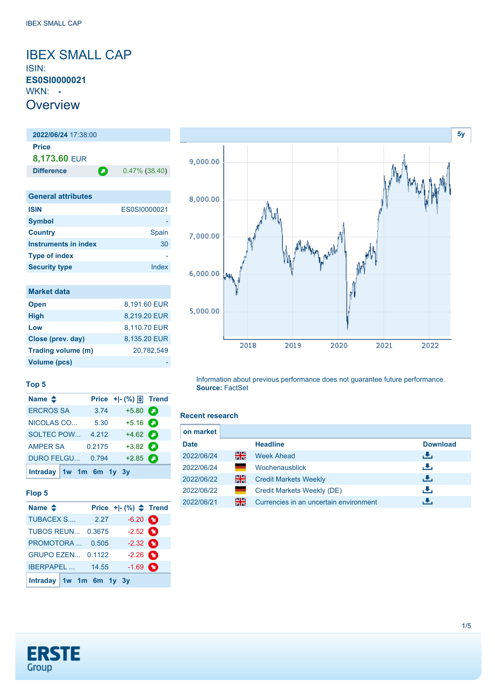<span id="page-0-0"></span>IBEX SMALL CAP ISIN: **ES0SI0000021** WKN: **- Overview** 

**2022/06/24** 17:38:00

**Price 8,173.60** EUR **Difference 0.47% (38.40) General attributes ISIN** ES0SI0000021 **Symbol Country** Spain **Instruments in index** 30 **Type of index Security type Index** 

| <b>Market data</b> |              |
|--------------------|--------------|
| <b>Open</b>        | 8,191.60 EUR |
| <b>High</b>        | 8,219.20 EUR |
| Low                | 8,110.70 EUR |
| Close (prev. day)  | 8,135.20 EUR |
| Trading volume (m) | 20,782,549   |
| Volume (pcs)       |              |

**Name ◆ Price +|- (%) E** Trend [ERCROS SA](https://de.products.erstegroup.com/CorporateClients/en/Dispatcher/FactsheetDispatcher/index.phtml?ID_NOTATION=8407772) 3.74 +5.80 [NICOLAS CO...](https://de.products.erstegroup.com/CorporateClients/en/Dispatcher/FactsheetDispatcher/index.phtml?ID_NOTATION=43884) 5.30 +5.16 [SOLTEC POW...](https://de.products.erstegroup.com/CorporateClients/en/Dispatcher/FactsheetDispatcher/index.phtml?ID_NOTATION=311333043) 4.212 +4.62 [AMPER SA](https://de.products.erstegroup.com/CorporateClients/en/Dispatcher/FactsheetDispatcher/index.phtml?ID_NOTATION=20728159) 0.2175 +3.82 [DURO FELGU...](https://de.products.erstegroup.com/CorporateClients/en/Dispatcher/FactsheetDispatcher/index.phtml?ID_NOTATION=15060255) 0.794 +2.85

# **[5y](#page-0-0)** 9,000.00 8,000.00 7,000.00 6,000.00 5,000.00 2018 2019 2020 2021 2022

Information about previous performance does not guarantee future performance. **Source:** FactSet

#### **Recent research**

| on market   |              |                                        |                 |
|-------------|--------------|----------------------------------------|-----------------|
| <b>Date</b> |              | <b>Headline</b>                        | <b>Download</b> |
| 2022/06/24  | 읡            | <b>Week Ahead</b>                      | æ,              |
| 2022/06/24  |              | Wochenausblick                         | æ,              |
| 2022/06/22  | 읡            | <b>Credit Markets Weekly</b>           | Æ,              |
| 2022/06/22  | <b>State</b> | Credit Markets Weekly (DE)             | æ,              |
| 2022/06/21  | 읡            | Currencies in an uncertain environment |                 |



**[Intraday](https://de.products.erstegroup.com/CorporateClients/en/MarketsAndTrends/IndicesAndEquities/Factsheets/Index/print.phtml?&elem906840_durationTimes=gen_intraday&ID_NOTATION=12493281) [1w](https://de.products.erstegroup.com/CorporateClients/en/MarketsAndTrends/IndicesAndEquities/Factsheets/Index/print.phtml?&elem906840_durationTimes=gen_1w&ID_NOTATION=12493281) [1m](https://de.products.erstegroup.com/CorporateClients/en/MarketsAndTrends/IndicesAndEquities/Factsheets/Index/print.phtml?&elem906840_durationTimes=gen_1m&ID_NOTATION=12493281) [6m](https://de.products.erstegroup.com/CorporateClients/en/MarketsAndTrends/IndicesAndEquities/Factsheets/Index/print.phtml?&elem906840_durationTimes=gen_6m&ID_NOTATION=12493281) [1y](https://de.products.erstegroup.com/CorporateClients/en/MarketsAndTrends/IndicesAndEquities/Factsheets/Index/print.phtml?&elem906840_durationTimes=gen_1y&ID_NOTATION=12493281) [3y](https://de.products.erstegroup.com/CorporateClients/en/MarketsAndTrends/IndicesAndEquities/Factsheets/Index/print.phtml?&elem906840_durationTimes=gen_3y&ID_NOTATION=12493281)**

**Top 5**

**Flop 5**

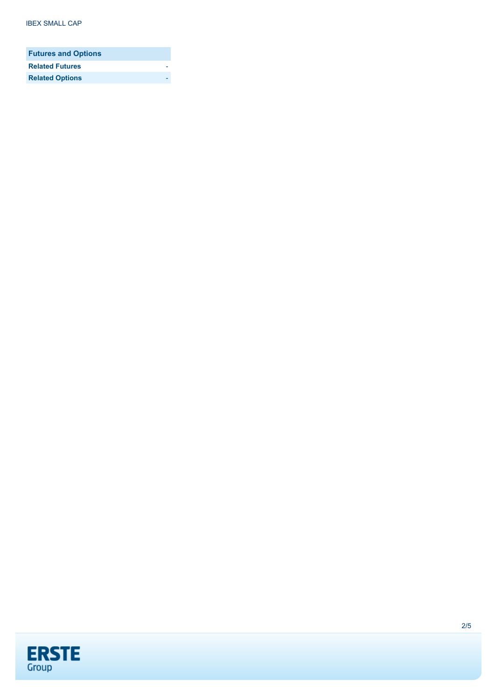| <b>Futures and Options</b> |  |
|----------------------------|--|
| <b>Related Futures</b>     |  |
| <b>Related Options</b>     |  |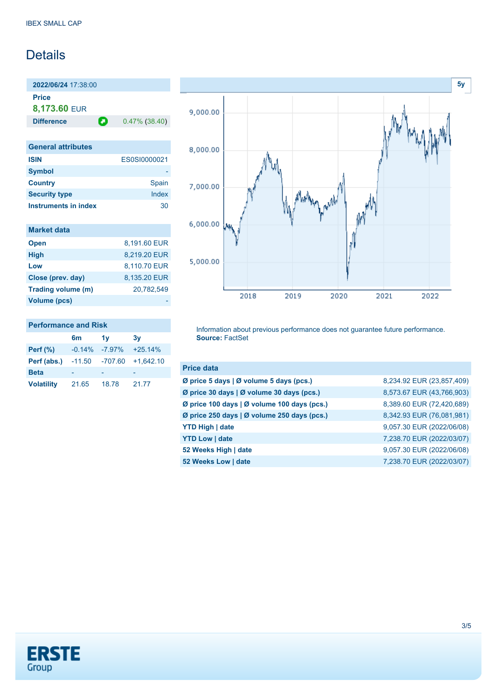### Details

**2022/06/24** 17:38:00 **Price**

**8,173.60** EUR

**Difference 0.47% (38.40)** 

| <b>General attributes</b>   |              |
|-----------------------------|--------------|
| <b>ISIN</b>                 | ES0SI0000021 |
| <b>Symbol</b>               |              |
| <b>Country</b>              | Spain        |
| <b>Security type</b>        | Index        |
| <b>Instruments in index</b> | 30           |

| 8.191.60 EUR |
|--------------|
| 8,219.20 EUR |
| 8,110.70 EUR |
| 8,135.20 EUR |
| 20,782,549   |
|              |
|              |

#### **Performance and Risk**

|                   | 6m       | 1v        | 3v          |
|-------------------|----------|-----------|-------------|
| Perf $(\%)$       | $-0.14%$ | $-7.97\%$ | $+25.14%$   |
| Perf (abs.)       | $-11.50$ | $-707.60$ | $+1,642.10$ |
| <b>Beta</b>       |          |           |             |
| <b>Volatility</b> | 21.65    | 18.78     | 21.77       |



Information about previous performance does not guarantee future performance. **Source:** FactSet

| <b>Price data</b>                           |                           |
|---------------------------------------------|---------------------------|
| Ø price 5 days   Ø volume 5 days (pcs.)     | 8,234.92 EUR (23,857,409) |
| Ø price 30 days   Ø volume 30 days (pcs.)   | 8,573.67 EUR (43,766,903) |
| Ø price 100 days   Ø volume 100 days (pcs.) | 8,389.60 EUR (72,420,689) |
| Ø price 250 days   Ø volume 250 days (pcs.) | 8,342.93 EUR (76,081,981) |
| <b>YTD High   date</b>                      | 9,057.30 EUR (2022/06/08) |
| <b>YTD Low   date</b>                       | 7,238.70 EUR (2022/03/07) |
| 52 Weeks High   date                        | 9,057.30 EUR (2022/06/08) |
| 52 Weeks Low   date                         | 7,238.70 EUR (2022/03/07) |

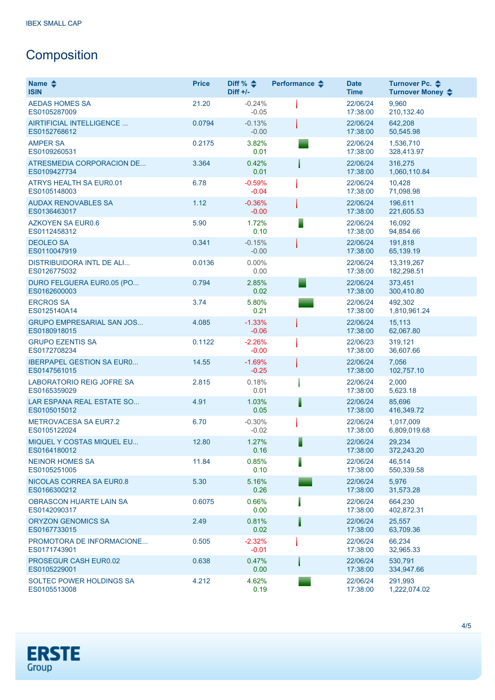## **Composition**

| Name $\triangle$<br><b>ISIN</b>                  | <b>Price</b> | Diff % $\triangleq$<br>$Diff +/-$ | Performance $\clubsuit$ | <b>Date</b><br><b>Time</b> | Turnover Pc. <b>←</b><br>Turnover Money ♦ |
|--------------------------------------------------|--------------|-----------------------------------|-------------------------|----------------------------|-------------------------------------------|
| <b>AEDAS HOMES SA</b><br>ES0105287009            | 21.20        | $-0.24%$<br>$-0.05$               |                         | 22/06/24<br>17:38:00       | 9,960<br>210,132.40                       |
| AIRTIFICIAL INTELLIGENCE<br>ES0152768612         | 0.0794       | $-0.13%$<br>$-0.00$               |                         | 22/06/24<br>17:38:00       | 642,208<br>50,545.98                      |
| <b>AMPER SA</b><br>ES0109260531                  | 0.2175       | 3.82%<br>0.01                     |                         | 22/06/24<br>17:38:00       | 1,536,710<br>328,413.97                   |
| ATRESMEDIA CORPORACION DE<br>ES0109427734        | 3.364        | 0.42%<br>0.01                     |                         | 22/06/24<br>17:38:00       | 316,275<br>1,060,110.84                   |
| ATRYS HEALTH SA EUR0.01<br>ES0105148003          | 6.78         | $-0.59%$<br>$-0.04$               |                         | 22/06/24<br>17:38:00       | 10,428<br>71,098.98                       |
| <b>AUDAX RENOVABLES SA</b><br>ES0136463017       | 1.12         | $-0.36%$<br>$-0.00$               |                         | 22/06/24<br>17:38:00       | 196,611<br>221,605.53                     |
| <b>AZKOYEN SA EUR0.6</b><br>ES0112458312         | 5.90         | 1.72%<br>0.10                     |                         | 22/06/24<br>17:38:00       | 16,092<br>94,854.66                       |
| <b>DEOLEO SA</b><br>ES0110047919                 | 0.341        | $-0.15%$<br>$-0.00$               |                         | 22/06/24<br>17:38:00       | 191,818<br>65,139.19                      |
| <b>DISTRIBUIDORA INTL DE ALI</b><br>ES0126775032 | 0.0136       | $0.00\%$<br>0.00                  |                         | 22/06/24<br>17:38:00       | 13.319.267<br>182,298.51                  |
| DURO FELGUERA EUR0.05 (PO<br>ES0162600003        | 0.794        | 2.85%<br>0.02                     |                         | 22/06/24<br>17:38:00       | 373.451<br>300,410.80                     |
| <b>ERCROS SA</b><br>ES0125140A14                 | 3.74         | 5.80%<br>0.21                     |                         | 22/06/24<br>17:38:00       | 492,302<br>1,810,961.24                   |
| <b>GRUPO EMPRESARIAL SAN JOS</b><br>ES0180918015 | 4.085        | $-1.33%$<br>$-0.06$               |                         | 22/06/24<br>17:38:00       | 15,113<br>62,067.80                       |
| <b>GRUPO EZENTIS SA</b><br>ES0172708234          | 0.1122       | $-2.26%$<br>$-0.00$               |                         | 22/06/23<br>17:38:00       | 319,121<br>36,607.66                      |
| <b>IBERPAPEL GESTION SA EURO</b><br>ES0147561015 | 14.55        | $-1.69%$<br>$-0.25$               |                         | 22/06/24<br>17:38:00       | 7,056<br>102,757.10                       |
| LABORATORIO REIG JOFRE SA<br>ES0165359029        | 2.815        | 0.18%<br>0.01                     |                         | 22/06/24<br>17:38:00       | 2,000<br>5,623.18                         |
| LAR ESPANA REAL ESTATE SO<br>ES0105015012        | 4.91         | 1.03%<br>0.05                     | ▌                       | 22/06/24<br>17:38:00       | 85,696<br>416,349.72                      |
| <b>METROVACESA SA EUR7.2</b><br>ES0105122024     | 6.70         | $-0.30%$<br>$-0.02$               |                         | 22/06/24<br>17:38:00       | 1,017,009<br>6,809,019.68                 |
| MIQUEL Y COSTAS MIQUEL EU<br>ES0164180012        | 12.80        | 1.27%<br>0.16                     | ▋                       | 22/06/24<br>17:38:00       | 29,234<br>372,243.20                      |
| <b>NEINOR HOMES SA</b><br>ES0105251005           | 11.84        | 0.85%<br>0.10                     | I                       | 22/06/24<br>17:38:00       | 46,514<br>550,339.58                      |
| NICOLAS CORREA SA EUR0.8<br>ES0166300212         | 5.30         | 5.16%<br>0.26                     |                         | 22/06/24<br>17:38:00       | 5,976<br>31,573.28                        |
| <b>OBRASCON HUARTE LAIN SA</b><br>ES0142090317   | 0.6075       | 0.66%<br>0.00                     |                         | 22/06/24<br>17:38:00       | 664,230<br>402,872.31                     |
| <b>ORYZON GENOMICS SA</b><br>ES0167733015        | 2.49         | 0.81%<br>0.02                     | I                       | 22/06/24<br>17:38:00       | 25,557<br>63,709.36                       |
| PROMOTORA DE INFORMACIONE<br>ES0171743901        | 0.505        | $-2.32%$<br>$-0.01$               |                         | 22/06/24<br>17:38:00       | 66,234<br>32,965.33                       |
| PROSEGUR CASH EUR0.02<br>ES0105229001            | 0.638        | 0.47%<br>0.00                     |                         | 22/06/24<br>17:38:00       | 530,791<br>334,947.66                     |
| SOLTEC POWER HOLDINGS SA<br>ES0105513008         | 4.212        | 4.62%<br>0.19                     |                         | 22/06/24<br>17:38:00       | 291,993<br>1,222,074.02                   |